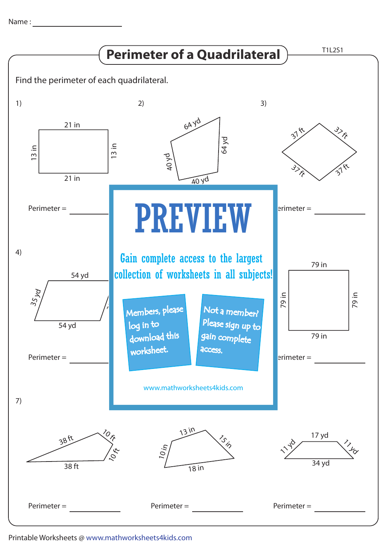